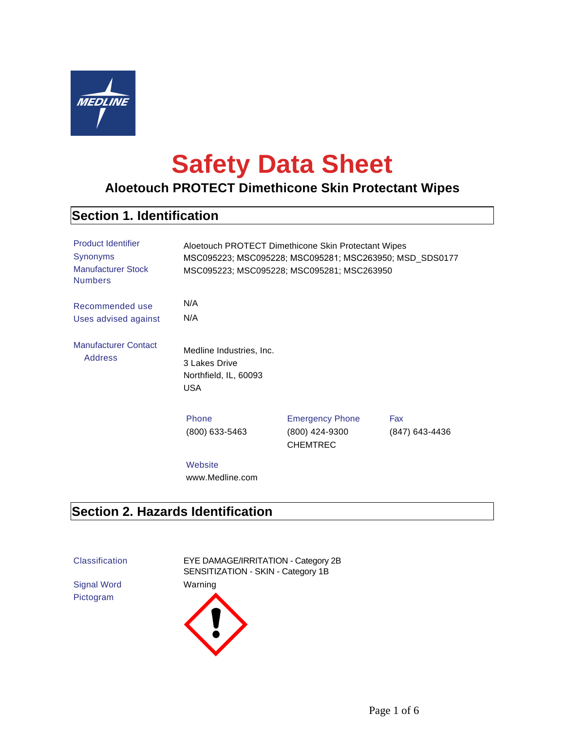

# **Safety Data Sheet**

# **Aloetouch PROTECT Dimethicone Skin Protectant Wipes**

#### **Section 1. Identification**

| <b>Product Identifier</b><br>Synonyms<br><b>Manufacturer Stock</b><br><b>Numbers</b> | Aloetouch PROTECT Dimethicone Skin Protectant Wipes<br>MSC095223; MSC095228; MSC095281; MSC263950; MSD_SDS0177<br>MSC095223; MSC095228; MSC095281; MSC263950 |                                                             |                       |
|--------------------------------------------------------------------------------------|--------------------------------------------------------------------------------------------------------------------------------------------------------------|-------------------------------------------------------------|-----------------------|
| Recommended use<br>Uses advised against                                              | N/A<br>N/A                                                                                                                                                   |                                                             |                       |
| <b>Manufacturer Contact</b><br><b>Address</b>                                        | Medline Industries, Inc.<br>3 Lakes Drive<br>Northfield, IL, 60093<br><b>USA</b>                                                                             |                                                             |                       |
|                                                                                      | Phone<br>$(800)$ 633-5463                                                                                                                                    | <b>Emergency Phone</b><br>(800) 424-9300<br><b>CHEMTREC</b> | Fax<br>(847) 643-4436 |
|                                                                                      | Website<br>www.Medline.com                                                                                                                                   |                                                             |                       |

# **Section 2. Hazards Identification**

Signal Word Warning Pictogram

Classification EYE DAMAGE/IRRITATION - Category 2B SENSITIZATION - SKIN - Category 1B

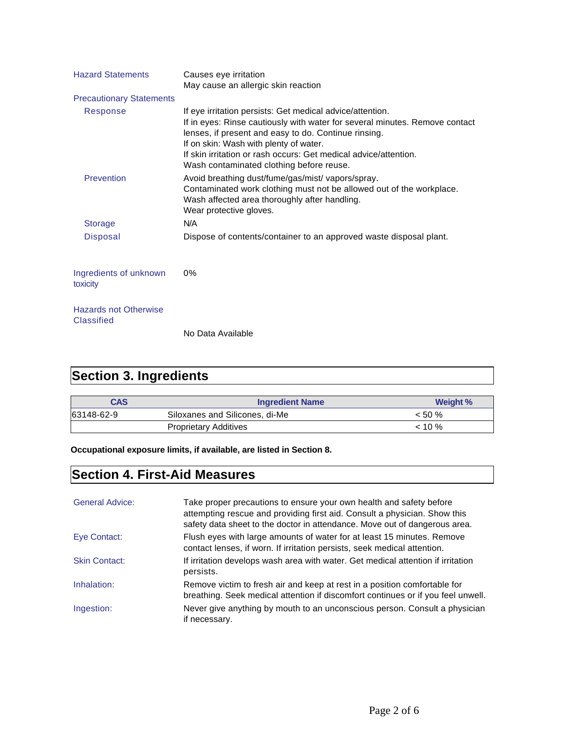| <b>Hazard Statements</b>                          | Causes eye irritation<br>May cause an allergic skin reaction                                                                                                                                                                                                                                                                                               |
|---------------------------------------------------|------------------------------------------------------------------------------------------------------------------------------------------------------------------------------------------------------------------------------------------------------------------------------------------------------------------------------------------------------------|
| <b>Precautionary Statements</b>                   |                                                                                                                                                                                                                                                                                                                                                            |
| Response                                          | If eye irritation persists: Get medical advice/attention.<br>If in eyes: Rinse cautiously with water for several minutes. Remove contact<br>lenses, if present and easy to do. Continue rinsing.<br>If on skin: Wash with plenty of water.<br>If skin irritation or rash occurs: Get medical advice/attention.<br>Wash contaminated clothing before reuse. |
| Prevention                                        | Avoid breathing dust/fume/gas/mist/ vapors/spray.<br>Contaminated work clothing must not be allowed out of the workplace.<br>Wash affected area thoroughly after handling.<br>Wear protective gloves.                                                                                                                                                      |
| <b>Storage</b>                                    | N/A                                                                                                                                                                                                                                                                                                                                                        |
| <b>Disposal</b>                                   | Dispose of contents/container to an approved waste disposal plant.                                                                                                                                                                                                                                                                                         |
| Ingredients of unknown<br>toxicity                | $0\%$                                                                                                                                                                                                                                                                                                                                                      |
| <b>Hazards not Otherwise</b><br><b>Classified</b> | No Data Available                                                                                                                                                                                                                                                                                                                                          |

# **Section 3. Ingredients**

| <b>CAS</b> | <b>Ingredient Name</b>         | Weight %  |
|------------|--------------------------------|-----------|
| 63148-62-9 | Siloxanes and Silicones, di-Me | $< 50 \%$ |
|            | Proprietary Additives          | $10\%$    |

**Occupational exposure limits, if available, are listed in Section 8.**

# **Section 4. First-Aid Measures**

| <b>General Advice:</b> | Take proper precautions to ensure your own health and safety before<br>attempting rescue and providing first aid. Consult a physician. Show this<br>safety data sheet to the doctor in attendance. Move out of dangerous area. |
|------------------------|--------------------------------------------------------------------------------------------------------------------------------------------------------------------------------------------------------------------------------|
| Eye Contact:           | Flush eyes with large amounts of water for at least 15 minutes. Remove<br>contact lenses, if worn. If irritation persists, seek medical attention.                                                                             |
| <b>Skin Contact:</b>   | If irritation develops wash area with water. Get medical attention if irritation<br>persists.                                                                                                                                  |
| Inhalation:            | Remove victim to fresh air and keep at rest in a position comfortable for<br>breathing. Seek medical attention if discomfort continues or if you feel unwell.                                                                  |
| Ingestion:             | Never give anything by mouth to an unconscious person. Consult a physician<br>if necessary.                                                                                                                                    |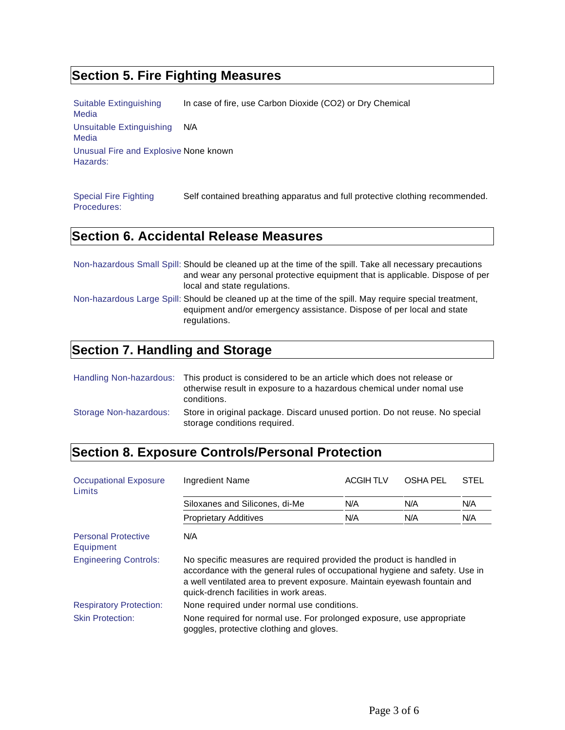# **Section 5. Fire Fighting Measures**

Suitable Extinguishing Media In case of fire, use Carbon Dioxide (CO2) or Dry Chemical Unsuitable Extinguishing Media N/A Unusual Fire and Explosive None known Hazards:

Special Fire Fighting Procedures: Self contained breathing apparatus and full protective clothing recommended.

## **Section 6. Accidental Release Measures**

| Non-hazardous Small Spill: Should be cleaned up at the time of the spill. Take all necessary precautions<br>and wear any personal protective equipment that is applicable. Dispose of per<br>local and state regulations. |
|---------------------------------------------------------------------------------------------------------------------------------------------------------------------------------------------------------------------------|
| Non-hazardous Large Spill: Should be cleaned up at the time of the spill. May require special treatment,<br>equipment and/or emergency assistance. Dispose of per local and state<br>regulations.                         |

#### **Section 7. Handling and Storage**

|                        | Handling Non-hazardous: This product is considered to be an article which does not release or<br>otherwise result in exposure to a hazardous chemical under nomal use<br>conditions. |
|------------------------|--------------------------------------------------------------------------------------------------------------------------------------------------------------------------------------|
| Storage Non-hazardous: | Store in original package. Discard unused portion. Do not reuse. No special<br>storage conditions required.                                                                          |

# **Section 8. Exposure Controls/Personal Protection**

| <b>Occupational Exposure</b><br>Limits  | Ingredient Name                                                                                                                                                                                                                                                             | <b>ACGIH TLV</b> | <b>OSHA PEL</b> | <b>STEL</b> |
|-----------------------------------------|-----------------------------------------------------------------------------------------------------------------------------------------------------------------------------------------------------------------------------------------------------------------------------|------------------|-----------------|-------------|
|                                         | Siloxanes and Silicones, di-Me                                                                                                                                                                                                                                              | N/A              | N/A             | N/A         |
|                                         | <b>Proprietary Additives</b>                                                                                                                                                                                                                                                | N/A              | N/A             | N/A         |
| <b>Personal Protective</b><br>Equipment | N/A                                                                                                                                                                                                                                                                         |                  |                 |             |
| <b>Engineering Controls:</b>            | No specific measures are required provided the product is handled in<br>accordance with the general rules of occupational hygiene and safety. Use in<br>a well ventilated area to prevent exposure. Maintain eyewash fountain and<br>quick-drench facilities in work areas. |                  |                 |             |
| <b>Respiratory Protection:</b>          | None required under normal use conditions.                                                                                                                                                                                                                                  |                  |                 |             |
| <b>Skin Protection:</b>                 | None required for normal use. For prolonged exposure, use appropriate<br>goggles, protective clothing and gloves.                                                                                                                                                           |                  |                 |             |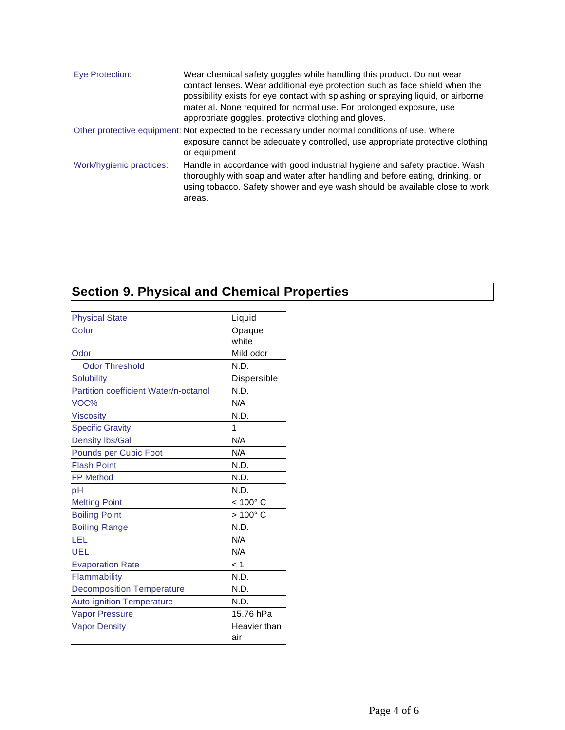| Eye Protection:          | Wear chemical safety goggles while handling this product. Do not wear<br>contact lenses. Wear additional eye protection such as face shield when the<br>possibility exists for eye contact with splashing or spraying liquid, or airborne<br>material. None required for normal use. For prolonged exposure, use<br>appropriate goggles, protective clothing and gloves. |
|--------------------------|--------------------------------------------------------------------------------------------------------------------------------------------------------------------------------------------------------------------------------------------------------------------------------------------------------------------------------------------------------------------------|
|                          | Other protective equipment: Not expected to be necessary under normal conditions of use. Where<br>exposure cannot be adequately controlled, use appropriate protective clothing<br>or equipment                                                                                                                                                                          |
| Work/hygienic practices: | Handle in accordance with good industrial hygiene and safety practice. Wash<br>thoroughly with soap and water after handling and before eating, drinking, or<br>using tobacco. Safety shower and eye wash should be available close to work<br>areas.                                                                                                                    |

# **Section 9. Physical and Chemical Properties**

| <b>Physical State</b>                 | Liquid            |
|---------------------------------------|-------------------|
| Color                                 | Opaque            |
|                                       | white             |
| Odor                                  | Mild odor         |
| <b>Odor Threshold</b>                 | N.D.              |
| <b>Solubility</b>                     | Dispersible       |
| Partition coefficient Water/n-octanol | N.D.              |
| VOC%                                  | N/A               |
| <b>Viscosity</b>                      | N.D.              |
| <b>Specific Gravity</b>               | 1                 |
| <b>Density Ibs/Gal</b>                | N/A               |
| Pounds per Cubic Foot                 | N/A               |
| <b>Flash Point</b>                    | N.D.              |
| <b>FP Method</b>                      | N.D.              |
| рH                                    | N.D.              |
| <b>Melting Point</b>                  | $< 100^{\circ}$ C |
| <b>Boiling Point</b>                  | $>100^{\circ}$ C  |
| <b>Boiling Range</b>                  | N.D.              |
| LEL                                   | N/A               |
| UEL                                   | N/A               |
| <b>Evaporation Rate</b>               | < 1               |
| Flammability                          | N.D.              |
| <b>Decomposition Temperature</b>      | N.D.              |
| <b>Auto-ignition Temperature</b>      | N.D.              |
| <b>Vapor Pressure</b>                 | 15.76 hPa         |
| <b>Vapor Density</b>                  | Heavier than      |
|                                       | air               |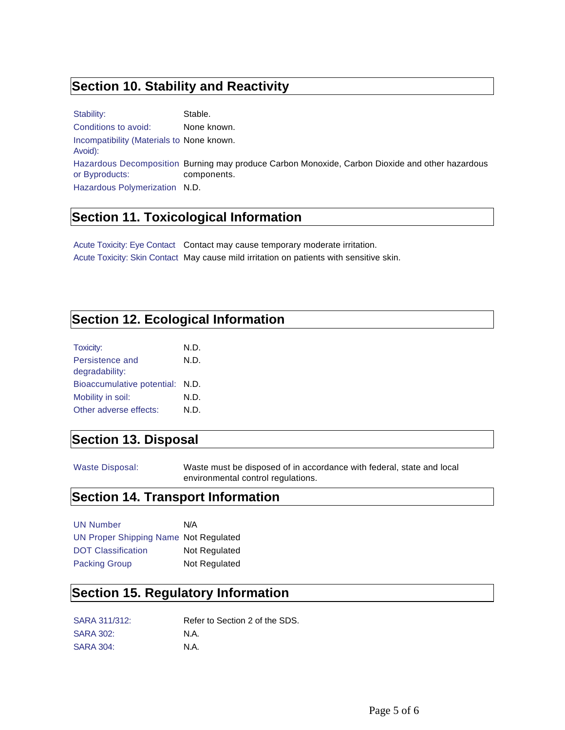## **Section 10. Stability and Reactivity**

Stability: Stable. Conditions to avoid: None known. Incompatibility (Materials to None known. Avoid): Hazardous Decomposition Burning may produce Carbon Monoxide, Carbon Dioxide and other hazardous or Byproducts: components. Hazardous Polymerization N.D.

#### **Section 11. Toxicological Information**

Acute Toxicity: Eye Contact Contact may cause temporary moderate irritation. Acute Toxicity: Skin Contact May cause mild irritation on patients with sensitive skin.

#### **Section 12. Ecological Information**

| N.D. |
|------|
| N.D. |
|      |
| N.D. |
| N.D. |
| N D. |
|      |

#### **Section 13. Disposal**

Waste Disposal: Waste must be disposed of in accordance with federal, state and local environmental control regulations.

## **Section 14. Transport Information**

| <b>UN Number</b>                      | N/A           |
|---------------------------------------|---------------|
| UN Proper Shipping Name Not Regulated |               |
| <b>DOT Classification</b>             | Not Regulated |
| <b>Packing Group</b>                  | Not Regulated |

## **Section 15. Regulatory Information**

| SARA 311/312:    | Refer to Section 2 of the SDS. |
|------------------|--------------------------------|
| <b>SARA 302:</b> | N.A.                           |
| <b>SARA 304:</b> | N.A.                           |